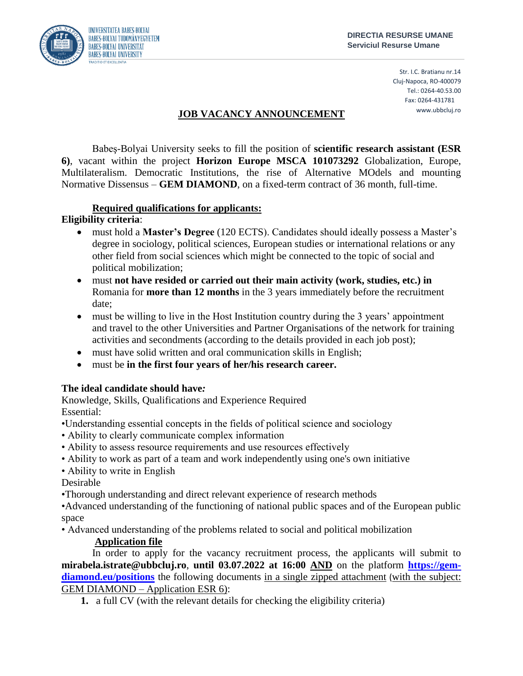

Str. I.C. Bratianu nr.14 Cluj-Napoca, RO-400079 Tel.: 0264-40.53.00 Fax: 0264-431781 www.ubbcluj.ro

# **JOB VACANCY ANNOUNCEMENT**

Babeş-Bolyai University seeks to fill the position of **scientific research assistant (ESR 6)**, vacant within the project **Horizon Europe MSCA 101073292** Globalization, Europe, Multilateralism. Democratic Institutions, the rise of Alternative MOdels and mounting Normative Dissensus – **GEM DIAMOND**, on a fixed-term contract of 36 month, full-time.

### **Required qualifications for applicants:**

### **Eligibility criteria**:

- must hold a **Master's Degree** (120 ECTS). Candidates should ideally possess a Master's degree in sociology, political sciences, European studies or international relations or any other field from social sciences which might be connected to the topic of social and political mobilization;
- must **not have resided or carried out their main activity (work, studies, etc.) in**  Romania for **more than 12 months** in the 3 years immediately before the recruitment date;
- must be willing to live in the Host Institution country during the 3 years' appointment and travel to the other Universities and Partner Organisations of the network for training activities and secondments (according to the details provided in each job post);
- must have solid written and oral communication skills in English;
- must be **in the first four years of her/his research career.**

# **The ideal candidate should have***:*

Knowledge, Skills, Qualifications and Experience Required Essential:

- •Understanding essential concepts in the fields of political science and sociology
- Ability to clearly communicate complex information
- Ability to assess resource requirements and use resources effectively
- Ability to work as part of a team and work independently using one's own initiative
- Ability to write in English

Desirable

•Thorough understanding and direct relevant experience of research methods

•Advanced understanding of the functioning of national public spaces and of the European public space

• Advanced understanding of the problems related to social and political mobilization

# **Application file**

In order to apply for the vacancy recruitment process, the applicants will submit to **mirabela.istrate@ubbcluj.ro**, **until 03.07.2022 at 16:00 AND** on the platform **[https://gem](https://gem-diamond.eu/positions)[diamond.eu/positions](https://gem-diamond.eu/positions)** the following documents in a single zipped attachment (with the subject: GEM DIAMOND – Application ESR 6):

**1.** a full CV (with the relevant details for checking the eligibility criteria)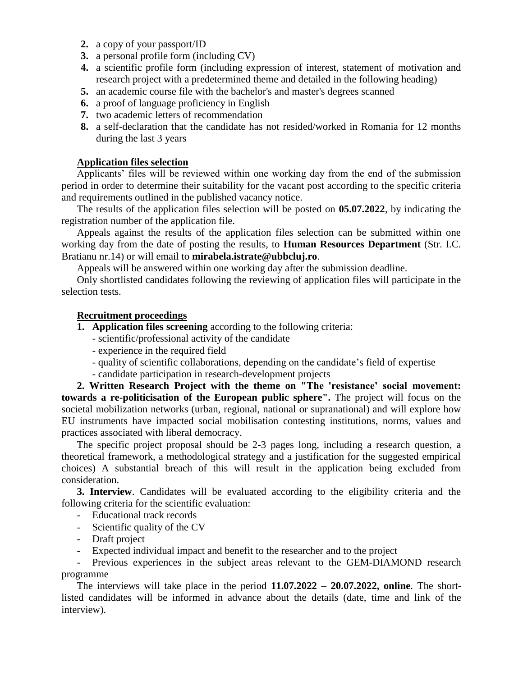- **2.** a copy of your passport/ID
- **3.** a personal profile form (including CV)
- **4.** a scientific profile form (including expression of interest, statement of motivation and research project with a predetermined theme and detailed in the following heading)
- **5.** an academic course file with the bachelor's and master's degrees scanned
- **6.** a proof of language proficiency in English
- **7.** two academic letters of recommendation
- **8.** a self-declaration that the candidate has not resided/worked in Romania for 12 months during the last 3 years

#### **Application files selection**

Applicants' files will be reviewed within one working day from the end of the submission period in order to determine their suitability for the vacant post according to the specific criteria and requirements outlined in the published vacancy notice.

The results of the application files selection will be posted on **05.07.2022**, by indicating the registration number of the application file.

Appeals against the results of the application files selection can be submitted within one working day from the date of posting the results, to **Human Resources Department** (Str. I.C. Bratianu nr.14) or will email to **mirabela.istrate@ubbcluj.ro**.

Appeals will be answered within one working day after the submission deadline.

Only shortlisted candidates following the reviewing of application files will participate in the selection tests.

#### **Recruitment proceedings**

- **1. Application files screening** according to the following criteria:
	- scientific/professional activity of the candidate
	- experience in the required field
	- quality of scientific collaborations, depending on the candidate's field of expertise
	- candidate participation in research-development projects

**2. Written Research Project with the theme on "The 'resistance' social movement: towards a re-politicisation of the European public sphere".** The project will focus on the societal mobilization networks (urban, regional, national or supranational) and will explore how EU instruments have impacted social mobilisation contesting institutions, norms, values and practices associated with liberal democracy.

The specific project proposal should be 2-3 pages long, including a research question, a theoretical framework, a methodological strategy and a justification for the suggested empirical choices) A substantial breach of this will result in the application being excluded from consideration.

**3. Interview**. Candidates will be evaluated according to the eligibility criteria and the following criteria for the scientific evaluation:

- Educational track records
- Scientific quality of the CV
- Draft project
- Expected individual impact and benefit to the researcher and to the project

- Previous experiences in the subject areas relevant to the GEM-DIAMOND research programme

The interviews will take place in the period **11.07.2022 – 20.07.2022, online**. The shortlisted candidates will be informed in advance about the details (date, time and link of the interview).